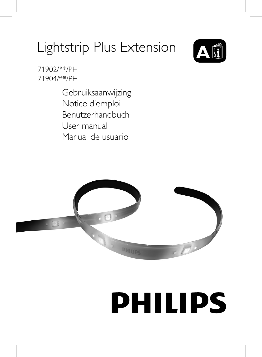## Lightstrip Plus Extension **A**



71902/\*\*/PH 71904/\*\*/PH

> Gebruiksaanwijzing Notice d'emploi Benutzerhandbuch User manual Manual de usuario



# **PHILIPS**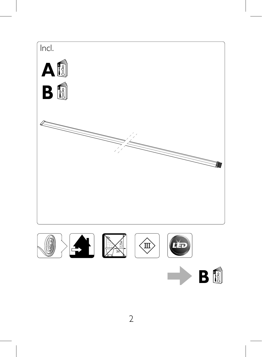









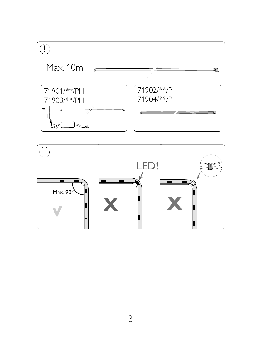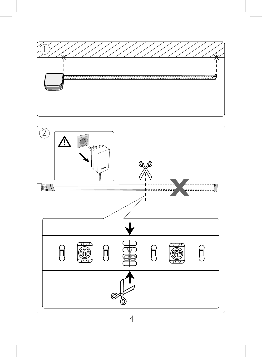

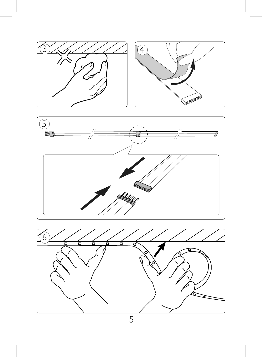



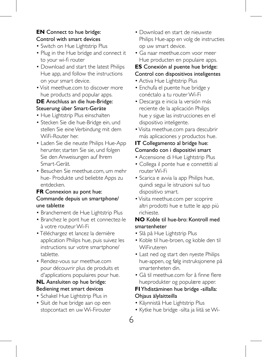#### **EN** Connect to hue bridge: Control with smart devices

- Switch on Hue Lightstrip Plus
- Plug in the Hue bridge and connect it to your wi-fi router
- Download and start the latest Philips Hue app, and follow the instructions on your smart device.
- Visit meethue.com to discover more hue products and popular apps.

#### **DE** Anschluss an die hue-Bridge: Steuerung über Smart-Geräte

- Hue Lightstrip Plus einschalten
- Stecken Sie die hue-Bridge ein, und stellen Sie eine Verbindung mit dem WiFi-Router her.
- Laden Sie die neuste Philips Hue-App herunter, starten Sie sie, und folgen Sie den Anweisungen auf Ihrem Smart-Gerät.
- Besuchen Sie meethue.com, um mehr hue- Produkte und beliebte Apps zu entdecken.

#### **FR** Connexion au pont hue: Commande depuis un smartphone/ une tablette

- Branchement de Hue Lightstrip Plus
- Branchez le pont hue et connectez-le à votre routeur Wi-Fi
- Téléchargez et lancez la dernière application Philips hue, puis suivez les instructions sur votre smartphone/ tablette.
- Rendez-vous sur meethue.com pour découvrir plus de produits et d'applications populaires pour hue.

#### **NL** Aansluiten op hue bridge: Bediening met smart devices

- Schakel Hue Lightstrip Plus in
- Sluit de hue bridge aan op een stopcontact en uw Wi-Firouter
- Download en start de nieuwste Philips Hue-app en volg de instructies op uw smart device.
- Ga naar meethue.com voor meer Hue producten en populaire apps.

### **ES** Conexión al puente hue bridge:

#### Control con dispositivos inteligentes

- Activa Hue Lightstrip Plus
- Enchufa el puente hue bridge y conéctalo a tu router Wi-Fi
- Descarga e inicia la versión más reciente de la aplicación Philips hue y sigue las instrucciones en el dispositivo inteligente.
- Visita meethue.com para descubrir más aplicaciones y productos hue.

#### **IT** Collegamento al bridge hue: Comando con i dispositivi smart

- Accensione di Hue Lightstrip Plus
- Collega il ponte hue e connettiti al router Wi-Fi
- Scarica e avvia la app Philips hue, quindi segui le istruzioni sul tuo dispositivo smart.
- Visita meethue.com per scoprire altri prodotti hue e tutte le app più richieste.

#### **NO** Koble til hue-bro: Kontroll med smartenheter

- Slå på Hue Lightstrip Plus
- Koble til hue-broen, og koble den til WiFiruteren
- Last ned og start den nyeste Philips hue-appen, og følg instruksjonene på smartenheten din.
- Gå til meethue.com for å finne flere hueprodukter og populære apper.

#### **FI** Yhdistäminen hue bridge -sillalla: Ohjaus älylaitteilla

- Käynnistä Hue Lightstrip Plus
- Kytke hue bridge -silta ja liitä se Wi-
- 6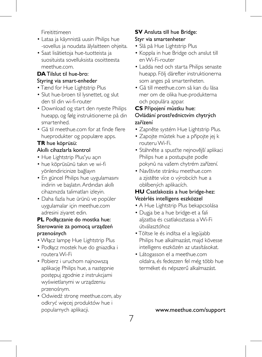Fireitittimeen

- Lataa ja käynnistä uusin Philips hue -sovellus ja noudata älylaitteen ohjeita.
- Saat lisätietoja hue-tuotteista ja suosituista sovelluksista osoitteesta meethue.com.

#### **DA** Tilslut til hue-bro: Styring via smart-enheder

- Tænd for Hue Lightstrip Plus
- Slut hue-broen til lysnettet, og slut den til din wi-fi-router
- Download og start den nyeste Philips hueapp, og følg instruktionerne på din smartenhed.
- Gå til meethue.com for at finde flere hueprodukter og populære apps.

#### **TR** hue köprüsü:

#### Akıllı cihazlarla kontrol

- Hue Lightstrip Plus'yu açın
- hue köprüsünü takın ve wi-fi yönlendiricinize bağlayın
- En güncel Philips hue uygulamasını indirin ve başlatın. Ardından akıllı cihazınızda talimatları izleyin.
- Daha fazla hue ürünü ve popüler uygulamalar için meethue.com adresini ziyaret edin.

#### **PL** Podłączanie do mostka hue: Sterowanie za pomocą urządzeń przenośnych

- Włącz lampę Hue Lightstrip Plus
- Podłącz mostek hue do gniazdka i routera Wi-Fi
- Pobierz i uruchom najnowszą aplikację Philips hue, a następnie postępuj zgodnie z instrukcjami wyświetlanymi w urządzeniu przenośnym.
- Odwiedź stronę meethue.com, aby odkryć więcej produktów hue i popularnych aplikacji.

#### **SV** Ansluta till hue Bridge: Styr via smartenheter

- Slå på Hue Lightstrip Plus
- Koppla in hue Bridge och anslut till en Wi-Fi-router
- Ladda ned och starta Philips senaste hueapp. Följ därefter instruktionerna som anges på smartenheten.
- Gå till meethue.com så kan du läsa mer om de olika hue-produkterna och populära appar.

#### **CS** Připojení můstku hue: Ovládání prostřednictvím chytrých zařízení

- Zapněte systém Hue Lightstrip Plus.
- Zapojte můstek hue a připojte jej k routeru Wi-Fi.
- Stáhněte a spusťte nejnovější aplikaci Philips hue a postupujte podle pokynů na vašem chytrém zařízení.
- Navštivte stránku meethue.com a zjistěte více o výrobcích hue a oblíbených aplikacích.

#### **HU** Csatlakozás a hue bridge-hez: Vezérlés intelligens eszközzel

- A Hue Lightstrip Plus bekapcsolása
- Dugja be a hue bridge-et a fali aljzatba és csatlakoztassa a Wi-Fi útválasztóhoz
- Töltse le és indítsa el a legújabb Philips hue alkalmazást, majd kövesse intelligens eszközén az utasításokat.
- Látogasson el a meethue.com oldalra, és fedezzen fel még több hue terméket és népszerű alkalmazást.

www.meethue.com/support